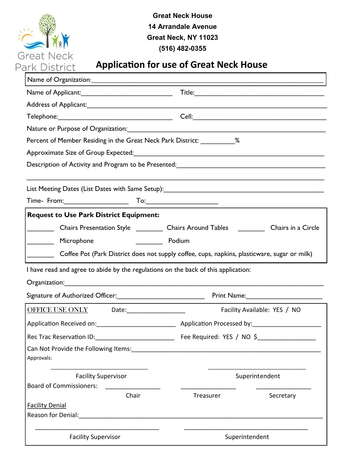

**Great Neck House 14 Arrandale Avenue Great Neck, NY 11023 (516) 482-0355**

## **Application for use of Great Neck House**

| Percent of Member Residing in the Great Neck Park District: ___________ %                    |                                                                                             |
|----------------------------------------------------------------------------------------------|---------------------------------------------------------------------------------------------|
|                                                                                              |                                                                                             |
|                                                                                              |                                                                                             |
|                                                                                              |                                                                                             |
|                                                                                              |                                                                                             |
| <b>Request to Use Park District Equipment:</b>                                               |                                                                                             |
|                                                                                              | Chairs Presentation Style ____________ Chairs Around Tables ____________ Chairs in a Circle |
| Microphone                                                                                   | Podium                                                                                      |
| Coffee Pot (Park District does not supply coffee, cups, napkins, plasticware, sugar or milk) |                                                                                             |
| I have read and agree to abide by the regulations on the back of this application:           |                                                                                             |
|                                                                                              |                                                                                             |
|                                                                                              | Print Name: 2008                                                                            |
| OFFICE USE ONLY Date:                                                                        | Facility Available: YES / NO                                                                |
|                                                                                              |                                                                                             |
| Rec Trac Reservation ID: ____________________________                                        | Fee Required: YES / NO \$                                                                   |
| Approvals:                                                                                   |                                                                                             |
| <b>Facility Supervisor</b><br><b>Board of Commissioners:</b>                                 | Superintendent                                                                              |
| Chair                                                                                        | Secretary<br>Treasurer                                                                      |
| <b>Facility Denial</b>                                                                       |                                                                                             |
| <b>Facility Supervisor</b>                                                                   | Superintendent                                                                              |